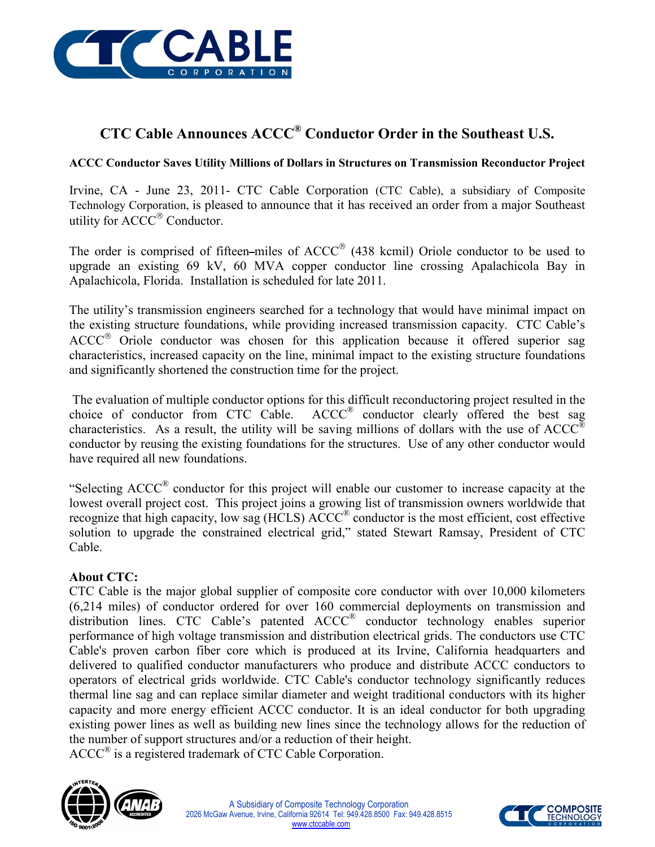

## **CTC Cable Announces ACCC® Conductor Order in the Southeast U.S.**

## **ACCC Conductor Saves Utility Millions of Dollars in Structures on Transmission Reconductor Project**

Irvine, CA - June 23, 2011- CTC Cable Corporation (CTC Cable), a subsidiary of Composite Technology Corporation, is pleased to announce that it has received an order from a major Southeast utility for ACCC<sup>®</sup> Conductor.

The order is comprised of fifteen-miles of  $ACCC^{\circledast}$  (438 kcmil) Oriole conductor to be used to upgrade an existing 69 kV, 60 MVA copper conductor line crossing Apalachicola Bay in Apalachicola, Florida. Installation is scheduled for late 2011.

The utility's transmission engineers searched for a technology that would have minimal impact on the existing structure foundations, while providing increased transmission capacity. CTC Cable's  $ACC^{\otimes}$  Oriole conductor was chosen for this application because it offered superior sag characteristics, increased capacity on the line, minimal impact to the existing structure foundations and significantly shortened the construction time for the project.

The evaluation of multiple conductor options for this difficult reconductoring project resulted in the choice of conductor from CTC Cable.  $ACC^{\circledR}$  conductor clearly offered the best sag characteristics. As a result, the utility will be saving millions of dollars with the use of  $ACC^{\otimes}$ conductor by reusing the existing foundations for the structures. Use of any other conductor would have required all new foundations.

"Selecting  $ACC^{\circ}$  conductor for this project will enable our customer to increase capacity at the lowest overall project cost. This project joins a growing list of transmission owners worldwide that recognize that high capacity, low sag (HCLS) ACCC® conductor is the most efficient, cost effective solution to upgrade the constrained electrical grid," stated Stewart Ramsay, President of CTC Cable.

## **About CTC:**

CTC Cable is the major global supplier of composite core conductor with over 10,000 kilometers (6,214 miles) of conductor ordered for over 160 commercial deployments on transmission and distribution lines. CTC Cable's patented ACCC® conductor technology enables superior performance of high voltage transmission and distribution electrical grids. The conductors use CTC Cable's proven carbon fiber core which is produced at its Irvine, California headquarters and delivered to qualified conductor manufacturers who produce and distribute ACCC conductors to operators of electrical grids worldwide. CTC Cable's conductor technology significantly reduces thermal line sag and can replace similar diameter and weight traditional conductors with its higher capacity and more energy efficient ACCC conductor. It is an ideal conductor for both upgrading existing power lines as well as building new lines since the technology allows for the reduction of the number of support structures and/or a reduction of their height.

 $ACC^{\circledR}$  is a registered trademark of CTC Cable Corporation.